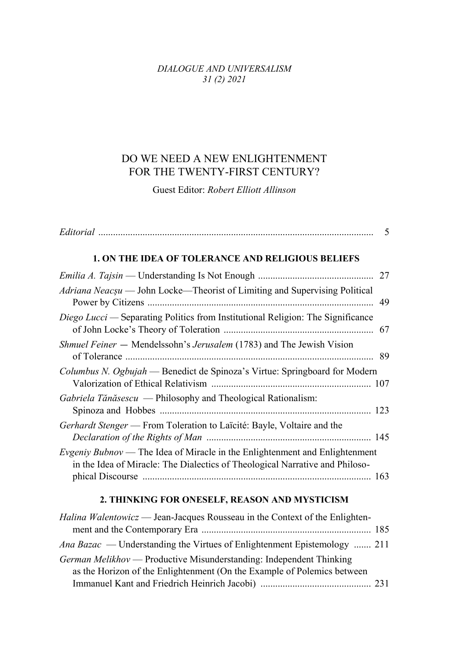## DIALOGUE AND UNIVERSALISM  $31(2) 2021$

## DO WE NEED A NEW ENLIGHTENMENT FOR THE TWENTY-FIRST CENTURY?

Guest Editor: Robert Elliott Allinson

| 1. ON THE IDEA OF TOLERANCE AND RELIGIOUS BELIEFS                                                                                                                  |  |
|--------------------------------------------------------------------------------------------------------------------------------------------------------------------|--|
|                                                                                                                                                                    |  |
| Adriana Neacșu — John Locke—Theorist of Limiting and Supervising Political                                                                                         |  |
| Diego Lucci — Separating Politics from Institutional Religion: The Significance                                                                                    |  |
| Shmuel Feiner — Mendelssohn's Jerusalem (1783) and The Jewish Vision                                                                                               |  |
| Columbus N. Ogbujah — Benedict de Spinoza's Virtue: Springboard for Modern                                                                                         |  |
| Gabriela Tănăsescu — Philosophy and Theological Rationalism:                                                                                                       |  |
| <i>Gerhardt Stenger</i> — From Toleration to Laïcité: Bayle, Voltaire and the                                                                                      |  |
| <i>Evgeniy Bubnov</i> — The Idea of Miracle in the Enlightenment and Enlightenment<br>in the Idea of Miracle: The Dialectics of Theological Narrative and Philoso- |  |

## 2. THINKING FOR ONESELF, REASON AND MYSTICISM

| <i>Halina Walentowicz</i> — Jean-Jacques Rousseau in the Context of the Enlighten- |  |
|------------------------------------------------------------------------------------|--|
|                                                                                    |  |
| <i>Ana Bazac</i> — Understanding the Virtues of Enlightenment Epistemology  211    |  |
| <i>German Melikhov</i> — Productive Misunderstanding: Independent Thinking         |  |
| as the Horizon of the Enlightenment (On the Example of Polemics between            |  |
|                                                                                    |  |